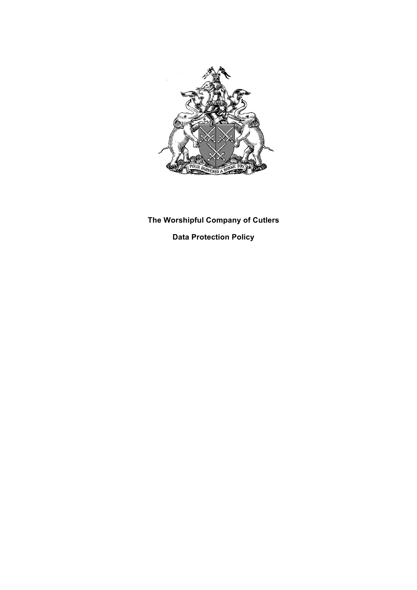

## **The Worshipful Company of Cutlers Data Protection Policy**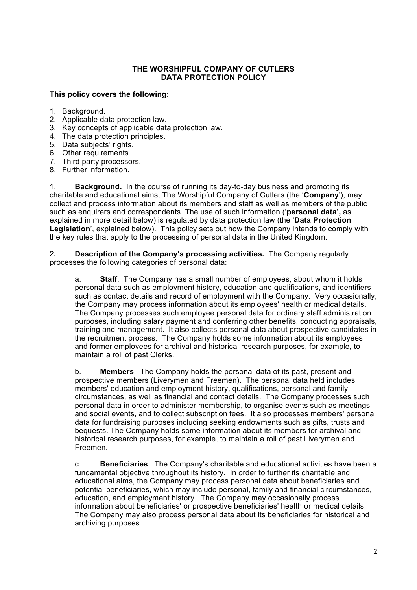## **THE WORSHIPFUL COMPANY OF CUTLERS DATA PROTECTION POLICY**

## **This policy covers the following:**

- 1. Background.
- 2. Applicable data protection law.
- 3. Key concepts of applicable data protection law.
- 4. The data protection principles.
- 5. Data subjects' rights.
- 6. Other requirements.
- 7. Third party processors.
- 8. Further information.

1. **Background.** In the course of running its day-to-day business and promoting its charitable and educational aims, The Worshipful Company of Cutlers (the '**Company**'), may collect and process information about its members and staff as well as members of the public such as enquirers and correspondents. The use of such information ('**personal data',** as explained in more detail below) is regulated by data protection law (the '**Data Protection Legislation**', explained below). This policy sets out how the Company intends to comply with the key rules that apply to the processing of personal data in the United Kingdom.

2**. Description of the Company's processing activities.** The Company regularly processes the following categories of personal data:

a. **Staff**: The Company has a small number of employees, about whom it holds personal data such as employment history, education and qualifications, and identifiers such as contact details and record of employment with the Company. Very occasionally, the Company may process information about its employees' health or medical details. The Company processes such employee personal data for ordinary staff administration purposes, including salary payment and conferring other benefits, conducting appraisals, training and management. It also collects personal data about prospective candidates in the recruitment process. The Company holds some information about its employees and former employees for archival and historical research purposes, for example, to maintain a roll of past Clerks.

b. **Members**: The Company holds the personal data of its past, present and prospective members (Liverymen and Freemen). The personal data held includes members' education and employment history, qualifications, personal and family circumstances, as well as financial and contact details. The Company processes such personal data in order to administer membership, to organise events such as meetings and social events, and to collect subscription fees. It also processes members' personal data for fundraising purposes including seeking endowments such as gifts, trusts and bequests. The Company holds some information about its members for archival and historical research purposes, for example, to maintain a roll of past Liverymen and Freemen.

c. **Beneficiaries**: The Company's charitable and educational activities have been a fundamental objective throughout its history. In order to further its charitable and educational aims, the Company may process personal data about beneficiaries and potential beneficiaries, which may include personal, family and financial circumstances, education, and employment history. The Company may occasionally process information about beneficiaries' or prospective beneficiaries' health or medical details. The Company may also process personal data about its beneficiaries for historical and archiving purposes.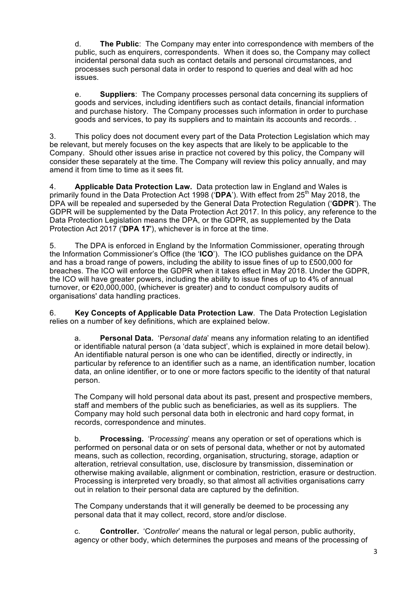d. **The Public**: The Company may enter into correspondence with members of the public, such as enquirers, correspondents. When it does so, the Company may collect incidental personal data such as contact details and personal circumstances, and processes such personal data in order to respond to queries and deal with ad hoc issues.

e. **Suppliers**: The Company processes personal data concerning its suppliers of goods and services, including identifiers such as contact details, financial information and purchase history. The Company processes such information in order to purchase goods and services, to pay its suppliers and to maintain its accounts and records. .

3. This policy does not document every part of the Data Protection Legislation which may be relevant, but merely focuses on the key aspects that are likely to be applicable to the Company. Should other issues arise in practice not covered by this policy, the Company will consider these separately at the time. The Company will review this policy annually, and may amend it from time to time as it sees fit.

4. **Applicable Data Protection Law.** Data protection law in England and Wales is primarily found in the Data Protection Act 1998 ('DPA'). With effect from 25<sup>th</sup> May 2018, the DPA will be repealed and superseded by the General Data Protection Regulation ('**GDPR**'). The GDPR will be supplemented by the Data Protection Act 2017. In this policy, any reference to the Data Protection Legislation means the DPA, or the GDPR, as supplemented by the Data Protection Act 2017 ('**DPA 17**'), whichever is in force at the time.

5. The DPA is enforced in England by the Information Commissioner, operating through the Information Commissioner's Office (the '**ICO**'). The ICO publishes guidance on the DPA and has a broad range of powers, including the ability to issue fines of up to £500,000 for breaches. The ICO will enforce the GDPR when it takes effect in May 2018. Under the GDPR, the ICO will have greater powers, including the ability to issue fines of up to 4% of annual turnover, or €20,000,000, (whichever is greater) and to conduct compulsory audits of organisations' data handling practices.

6. **Key Concepts of Applicable Data Protection Law**. The Data Protection Legislation relies on a number of key definitions, which are explained below.

a. **Personal Data.** 'P*ersonal data*' means any information relating to an identified or identifiable natural person (a 'data subject', which is explained in more detail below). An identifiable natural person is one who can be identified, directly or indirectly, in particular by reference to an identifier such as a name, an identification number, location data, an online identifier, or to one or more factors specific to the identity of that natural person.

The Company will hold personal data about its past, present and prospective members, staff and members of the public such as beneficiaries, as well as its suppliers. The Company may hold such personal data both in electronic and hard copy format, in records, correspondence and minutes.

b. **Processing.** 'P*rocessing*' means any operation or set of operations which is performed on personal data or on sets of personal data, whether or not by automated means, such as collection, recording, organisation, structuring, storage, adaption or alteration, retrieval consultation, use, disclosure by transmission, dissemination or otherwise making available, alignment or combination, restriction, erasure or destruction. Processing is interpreted very broadly, so that almost all activities organisations carry out in relation to their personal data are captured by the definition.

The Company understands that it will generally be deemed to be processing any personal data that it may collect, record, store and/or disclose.

c. **Controller.** 'C*ontroller*' means the natural or legal person, public authority, agency or other body, which determines the purposes and means of the processing of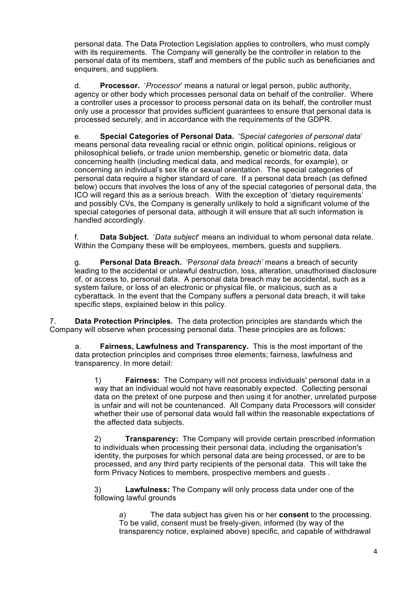personal data. The Data Protection Legislation applies to controllers, who must comply with its requirements. The Company will generally be the controller in relation to the personal data of its members, staff and members of the public such as beneficiaries and enquirers, and suppliers.

d. **Processor.** '*Processor*' means a natural or legal person, public authority, agency or other body which processes personal data on behalf of the controller. Where a controller uses a processor to process personal data on its behalf, the controller must only use a processor that provides sufficient guarantees to ensure that personal data is processed securely, and in accordance with the requirements of the GDPR.

e. **Special Categories of Personal Data.** 'S*pecial categories of personal data*' means personal data revealing racial or ethnic origin, political opinions, religious or philosophical beliefs, or trade union membership, genetic or biometric data, data concerning health (including medical data, and medical records, for example), or concerning an individual's sex life or sexual orientation. The special categories of personal data require a higher standard of care. If a personal data breach (as defined below) occurs that involves the loss of any of the special categories of personal data, the ICO will regard this as a serious breach. With the exception of 'dietary requirements' and possibly CVs, the Company is generally unlikely to hold a significant volume of the special categories of personal data, although it will ensure that all such information is handled accordingly.

f. **Data Subject.** '*Data subject*' means an individual to whom personal data relate. Within the Company these will be employees, members, quests and suppliers.

g. **Personal Data Breach.** 'P*ersonal data breach'* means a breach of security leading to the accidental or unlawful destruction, loss, alteration, unauthorised disclosure of, or access to, personal data. A personal data breach may be accidental, such as a system failure, or loss of an electronic or physical file, or malicious, such as a cyberattack. In the event that the Company suffers a personal data breach, it will take specific steps, explained below in this policy.

7. **Data Protection Principles.** The data protection principles are standards which the Company will observe when processing personal data. These principles are as follows:

a. **Fairness, Lawfulness and Transparency.** This is the most important of the data protection principles and comprises three elements; fairness, lawfulness and transparency. In more detail:

1) **Fairness:** The Company will not process individuals' personal data in a way that an individual would not have reasonably expected. Collecting personal data on the pretext of one purpose and then using it for another, unrelated purpose is unfair and will not be countenanced. All Company data Processors will consider whether their use of personal data would fall within the reasonable expectations of the affected data subjects.

2) **Transparency:** The Company will provide certain prescribed information to individuals when processing their personal data, including the organisation's identity, the purposes for which personal data are being processed, or are to be processed, and any third party recipients of the personal data. This will take the form Privacy Notices to members, prospective members and guests .

3) **Lawfulness:** The Company will only process data under one of the following lawful grounds

a) The data subject has given his or her **consent** to the processing. To be valid, consent must be freely-given, informed (by way of the transparency notice, explained above) specific, and capable of withdrawal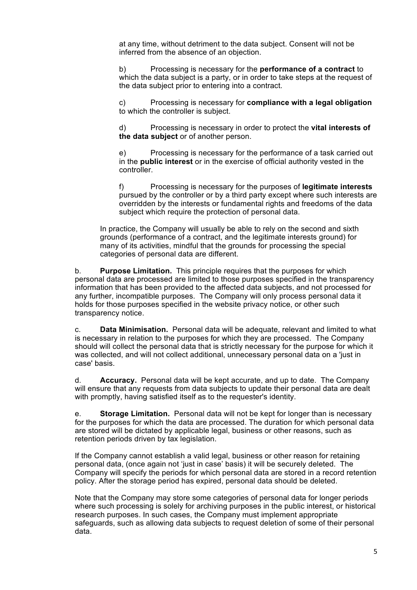at any time, without detriment to the data subject. Consent will not be inferred from the absence of an objection.

b) Processing is necessary for the **performance of a contract** to which the data subject is a party, or in order to take steps at the request of the data subject prior to entering into a contract.

c) Processing is necessary for **compliance with a legal obligation** to which the controller is subject.

d) Processing is necessary in order to protect the **vital interests of the data subject** or of another person.

e) Processing is necessary for the performance of a task carried out in the **public interest** or in the exercise of official authority vested in the controller.

f) Processing is necessary for the purposes of **legitimate interests** pursued by the controller or by a third party except where such interests are overridden by the interests or fundamental rights and freedoms of the data subject which require the protection of personal data.

In practice, the Company will usually be able to rely on the second and sixth grounds (performance of a contract, and the legitimate interests ground) for many of its activities, mindful that the grounds for processing the special categories of personal data are different.

b. **Purpose Limitation.** This principle requires that the purposes for which personal data are processed are limited to those purposes specified in the transparency information that has been provided to the affected data subjects, and not processed for any further, incompatible purposes. The Company will only process personal data it holds for those purposes specified in the website privacy notice, or other such transparency notice.

c. **Data Minimisation.** Personal data will be adequate, relevant and limited to what is necessary in relation to the purposes for which they are processed. The Company should will collect the personal data that is strictly necessary for the purpose for which it was collected, and will not collect additional, unnecessary personal data on a 'just in case' basis.

d. **Accuracy.** Personal data will be kept accurate, and up to date. The Company will ensure that any requests from data subjects to update their personal data are dealt with promptly, having satisfied itself as to the requester's identity.

e. **Storage Limitation.** Personal data will not be kept for longer than is necessary for the purposes for which the data are processed. The duration for which personal data are stored will be dictated by applicable legal, business or other reasons, such as retention periods driven by tax legislation.

If the Company cannot establish a valid legal, business or other reason for retaining personal data, (once again not 'just in case' basis) it will be securely deleted. The Company will specify the periods for which personal data are stored in a record retention policy. After the storage period has expired, personal data should be deleted.

Note that the Company may store some categories of personal data for longer periods where such processing is solely for archiving purposes in the public interest, or historical research purposes. In such cases, the Company must implement appropriate safeguards, such as allowing data subjects to request deletion of some of their personal data.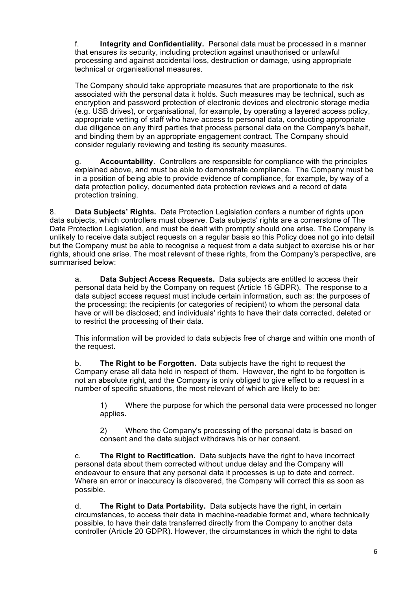f. **Integrity and Confidentiality.** Personal data must be processed in a manner that ensures its security, including protection against unauthorised or unlawful processing and against accidental loss, destruction or damage, using appropriate technical or organisational measures.

The Company should take appropriate measures that are proportionate to the risk associated with the personal data it holds. Such measures may be technical, such as encryption and password protection of electronic devices and electronic storage media (e.g. USB drives), or organisational, for example, by operating a layered access policy, appropriate vetting of staff who have access to personal data, conducting appropriate due diligence on any third parties that process personal data on the Company's behalf, and binding them by an appropriate engagement contract. The Company should consider regularly reviewing and testing its security measures.

g. **Accountability**. Controllers are responsible for compliance with the principles explained above, and must be able to demonstrate compliance. The Company must be in a position of being able to provide evidence of compliance, for example, by way of a data protection policy, documented data protection reviews and a record of data protection training.

8. **Data Subjects' Rights.** Data Protection Legislation confers a number of rights upon data subjects, which controllers must observe. Data subjects' rights are a cornerstone of The Data Protection Legislation, and must be dealt with promptly should one arise. The Company is unlikely to receive data subject requests on a regular basis so this Policy does not go into detail but the Company must be able to recognise a request from a data subject to exercise his or her rights, should one arise. The most relevant of these rights, from the Company's perspective, are summarised below:

a. **Data Subject Access Requests.** Data subjects are entitled to access their personal data held by the Company on request (Article 15 GDPR). The response to a data subject access request must include certain information, such as: the purposes of the processing; the recipients (or categories of recipient) to whom the personal data have or will be disclosed; and individuals' rights to have their data corrected, deleted or to restrict the processing of their data.

This information will be provided to data subjects free of charge and within one month of the request.

b. **The Right to be Forgotten.** Data subjects have the right to request the Company erase all data held in respect of them. However, the right to be forgotten is not an absolute right, and the Company is only obliged to give effect to a request in a number of specific situations, the most relevant of which are likely to be:

1) Where the purpose for which the personal data were processed no longer applies.

2) Where the Company's processing of the personal data is based on consent and the data subject withdraws his or her consent.

c. **The Right to Rectification.** Data subjects have the right to have incorrect personal data about them corrected without undue delay and the Company will endeavour to ensure that any personal data it processes is up to date and correct. Where an error or inaccuracy is discovered, the Company will correct this as soon as possible.

d. **The Right to Data Portability.** Data subjects have the right, in certain circumstances, to access their data in machine-readable format and, where technically possible, to have their data transferred directly from the Company to another data controller (Article 20 GDPR). However, the circumstances in which the right to data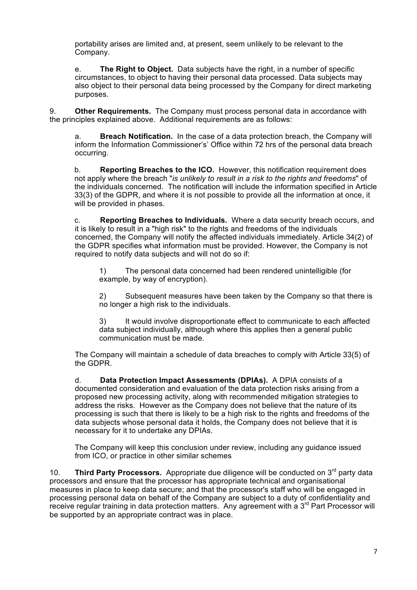portability arises are limited and, at present, seem unlikely to be relevant to the Company.

e. **The Right to Object.** Data subjects have the right, in a number of specific circumstances, to object to having their personal data processed. Data subjects may also object to their personal data being processed by the Company for direct marketing purposes.

9. **Other Requirements.** The Company must process personal data in accordance with the principles explained above. Additional requirements are as follows:

a. **Breach Notification.** In the case of a data protection breach, the Company will inform the Information Commissioner's' Office within 72 hrs of the personal data breach occurring.

b. **Reporting Breaches to the ICO.** However, this notification requirement does not apply where the breach "*is unlikely to result in a risk to the rights and freedoms*" of the individuals concerned. The notification will include the information specified in Article 33(3) of the GDPR, and where it is not possible to provide all the information at once, it will be provided in phases.

c. **Reporting Breaches to Individuals.** Where a data security breach occurs, and it is likely to result in a "high risk" to the rights and freedoms of the individuals concerned, the Company will notify the affected individuals immediately*.* Article 34(2) of the GDPR specifies what information must be provided. However, the Company is not required to notify data subjects and will not do so if:

1) The personal data concerned had been rendered unintelligible (for example, by way of encryption).

2) Subsequent measures have been taken by the Company so that there is no longer a high risk to the individuals.

3) It would involve disproportionate effect to communicate to each affected data subject individually, although where this applies then a general public communication must be made.

The Company will maintain a schedule of data breaches to comply with Article 33(5) of the GDPR.

d. **Data Protection Impact Assessments (DPIAs).** A DPIA consists of a documented consideration and evaluation of the data protection risks arising from a proposed new processing activity, along with recommended mitigation strategies to address the risks. However as the Company does not believe that the nature of its processing is such that there is likely to be a high risk to the rights and freedoms of the data subjects whose personal data it holds, the Company does not believe that it is necessary for it to undertake any DPIAs.

The Company will keep this conclusion under review, including any guidance issued from ICO, or practice in other similar schemes

10. **Third Party Processors.** Appropriate due diligence will be conducted on 3rd party data processors and ensure that the processor has appropriate technical and organisational measures in place to keep data secure; and that the processor's staff who will be engaged in processing personal data on behalf of the Company are subject to a duty of confidentiality and receive regular training in data protection matters. Any agreement with a 3<sup>rd</sup> Part Processor will be supported by an appropriate contract was in place.